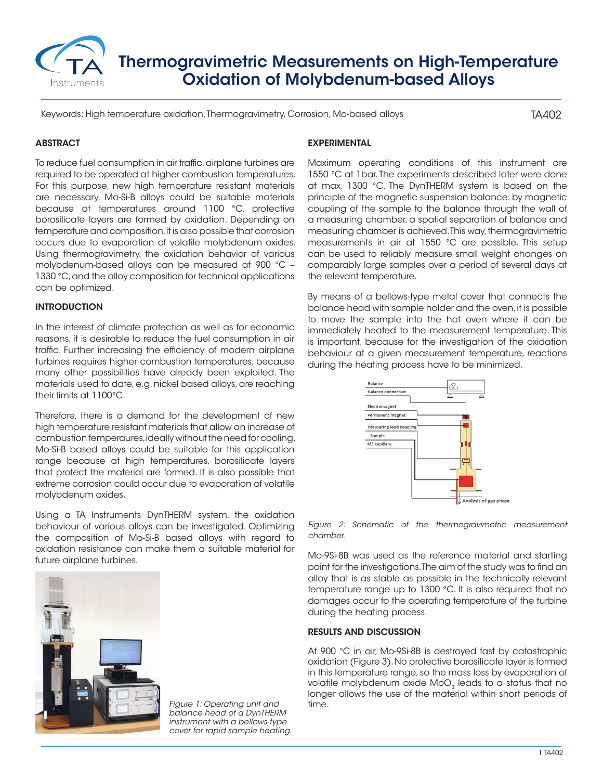

# Thermogravimetric Measurements on High-Temperature Oxidation of Molybdenum-based Alloys

Keywords: High temperature oxidation, Thermogravimetry, Corrosion, Mo-based alloys

TA402

## **ABSTRACT**

To reduce fuel consumption in air traffic, airplane turbines are required to be operated at higher combustion temperatures. For this purpose, new high temperature resistant materials are necessary. Mo-Si-B alloys could be suitable materials because at temperatures around 1100 °C, protective borosilicate layers are formed by oxidation. Depending on temperature and composition, it is also possible that corrosion occurs due to evaporation of volatile molybdenum oxides. Using thermogravimetry, the oxidation behavior of various molybdenum-based alloys can be measured at 900 °C – 1330 °C, and the alloy composition for technical applications can be optimized.

### **INTRODUCTION**

In the interest of climate protection as well as for economic reasons, it is desirable to reduce the fuel consumption in air traffic. Further increasing the efficiency of modern airplane turbines requires higher combustion temperatures, because many other possibilities have already been exploited. The materials used to date, e.g. nickel based alloys, are reaching their limits at 1100°C.

Therefore, there is a demand for the development of new high temperature resistant materials that allow an increase of combustion temperaures, ideally without the need for cooling. Mo-Si-B based alloys could be suitable for this application range because at high temperatures, borosilicate layers that protect the material are formed. It is also possible that extreme corrosion could occur due to evaporation of volatile molybdenum oxides.

Using a TA Instruments DynTHERM system, the oxidation behaviour of various alloys can be investigated. Optimizing the composition of Mo-Si-B based alloys with regard to oxidation resistance can make them a suitable material for future airplane turbines.



*Figure 1: Operating unit and* time. *balance head of a DynTHERM instrument with a bellows-type cover for rapid sample heating.*

#### EXPERIMENTAL

Maximum operating conditions of this instrument are 1550 °C at 1bar. The experiments described later were done at max. 1300 °C. The DynTHERM system is based on the principle of the magnetic suspension balance: by magnetic coupling of the sample to the balance through the wall of a measuring chamber, a spatial separation of balance and measuring chamber is achieved. This way, thermogravimetric measurements in air at 1550 °C are possible. This setup can be used to reliably measure small weight changes on comparably large samples over a period of several days at the relevant temperature.

By means of a bellows-type metal cover that connects the balance head with sample holder and the oven, it is possible to move the sample into the hot oven where it can be immediately heated to the measurement temperature. This is important, because for the investigation of the oxidation behaviour at a given measurement temperature, reactions during the heating process have to be minimized.



*Figure 2: Schematic of the thermogravimetric measurement chamber.*

Mo-9Si-8B was used as the reference material and starting point for the investigations. The aim of the study was to find an alloy that is as stable as possible in the technically relevant temperature range up to 1300 °C. It is also required that no damages occur to the operating temperature of the turbine during the heating process.

#### RESULTS AND DISCUSSION

At 900 °C in air, Mo-9Si-8B is destroyed fast by catastrophic oxidation (Figure 3). No protective borosilicate layer is formed in this temperature range, so the mass loss by evaporation of volatile molybdenum oxide  $MoO<sub>3</sub>$  leads to a status that no longer allows the use of the material within short periods of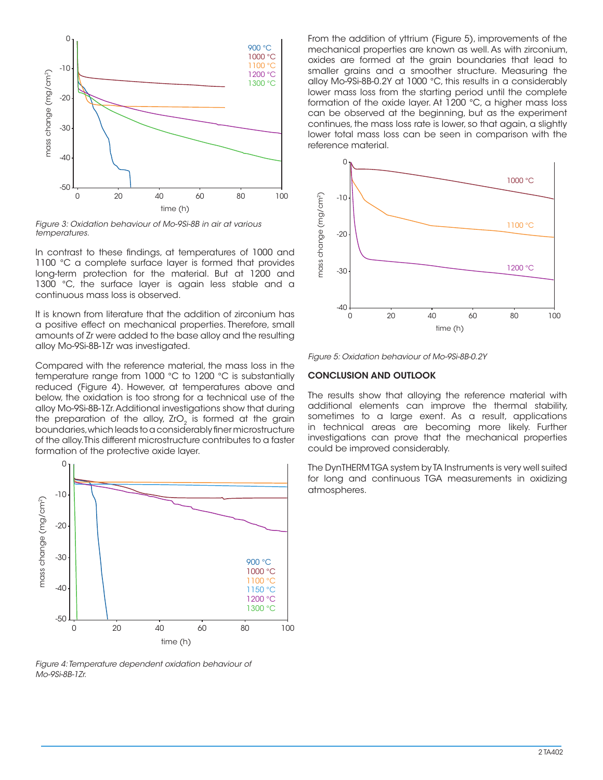

*Figure 3: Oxidation behaviour of Mo-9Si-8B in air at various temperatures.*

In contrast to these findings, at temperatures of 1000 and 1100 °C a complete surface layer is formed that provides long-term protection for the material. But at 1200 and 1300 °C, the surface layer is again less stable and a continuous mass loss is observed.

It is known from literature that the addition of zirconium has a positive effect on mechanical properties. Therefore, small amounts of Zr were added to the base alloy and the resulting alloy Mo-9Si-8B-1Zr was investigated.

Compared with the reference material, the mass loss in the temperature range from 1000 °C to 1200 °C is substantially reduced (Figure 4). However, at temperatures above and below, the oxidation is too strong for a technical use of the alloy Mo-9Si-8B-1Zr. Additional investigations show that during the preparation of the alloy, ZrO<sub>2</sub> is formed at the grain boundaries, which leads to a considerably finer microstructure of the alloy. This different microstructure contributes to a faster formation of the protective oxide layer.



*Figure 4: Temperature dependent oxidation behaviour of Mo-9Si-8B-1Zr.*

From the addition of yttrium (Figure 5), improvements of the mechanical properties are known as well. As with zirconium, oxides are formed at the grain boundaries that lead to smaller grains and a smoother structure. Measuring the alloy Mo-9Si-8B-0.2Y at 1000 °C, this results in a considerably lower mass loss from the starting period until the complete formation of the oxide layer. At 1200 °C, a higher mass loss can be observed at the beginning, but as the experiment continues, the mass loss rate is lower, so that again, a slightly lower total mass loss can be seen in comparison with the reference material.



*Figure 5: Oxidation behaviour of Mo-9Si-8B-0.2Y*

#### CONCLUSION AND OUTLOOK

The results show that alloying the reference material with additional elements can improve the thermal stability, sometimes to a large exent. As a result, applications in technical areas are becoming more likely. Further investigations can prove that the mechanical properties could be improved considerably.

The DynTHERM TGA system by TA Instruments is very well suited for long and continuous TGA measurements in oxidizing atmospheres.